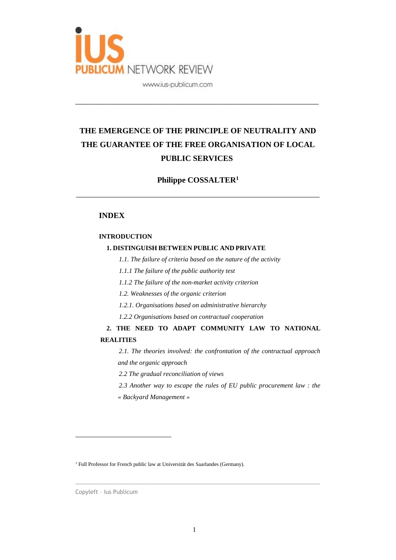

# **THE EMERGENCE OF THE PRINCIPLE OF NEUTRALITY AND THE GUARANTEE OF THE FREE ORGANISATION OF LOCAL PUBLIC SERVICES**

\_\_\_\_\_\_\_\_\_\_\_\_\_\_\_\_\_\_\_\_\_\_\_\_\_\_\_\_\_\_\_\_\_\_\_\_\_\_\_\_\_\_\_\_\_\_\_\_\_\_\_\_\_\_\_\_\_\_\_\_\_

## **Philippe COSSALTER<sup>1</sup>**

\_\_\_\_\_\_\_\_\_\_\_\_\_\_\_\_\_\_\_\_\_\_\_\_\_\_\_\_\_\_\_\_\_\_\_\_\_\_\_\_\_\_\_\_\_\_\_\_\_\_\_\_\_\_\_\_\_\_\_\_\_

### **INDEX**

#### **INTRODUCTION**

#### **1. DISTINGUISH BETWEEN PUBLIC AND PRIVATE**

*1.1. The failure of criteria based on the nature of the activity*

*1.1.1 The failure of the public authority test*

*1.1.2 The failure of the non-market activity criterion*

*1.2. Weaknesses of the organic criterion*

*1.2.1. Organisations based on administrative hierarchy*

*1.2.2 Organisations based on contractual cooperation*

**2. THE NEED TO ADAPT COMMUNITY LAW TO NATIONAL REALITIES**

*2.1. The theories involved: the confrontation of the contractual approach and the organic approach*

*2.2 The gradual reconciliation of views*

*2.3 Another way to escape the rules of EU public procurement law : the « Backyard Management »*

<sup>1</sup> Full Professor for French public law at Universität des Saarlandes (Germany).

Copyleft – Ius Publicum

 $\overline{a}$ 

 $\_$  ,  $\_$  ,  $\_$  ,  $\_$  ,  $\_$  ,  $\_$  ,  $\_$  ,  $\_$  ,  $\_$  ,  $\_$  ,  $\_$  ,  $\_$  ,  $\_$  ,  $\_$  ,  $\_$  ,  $\_$  ,  $\_$  ,  $\_$  ,  $\_$  ,  $\_$  ,  $\_$  ,  $\_$  ,  $\_$  ,  $\_$  ,  $\_$  ,  $\_$  ,  $\_$  ,  $\_$  ,  $\_$  ,  $\_$  ,  $\_$  ,  $\_$  ,  $\_$  ,  $\_$  ,  $\_$  ,  $\_$  ,  $\_$  ,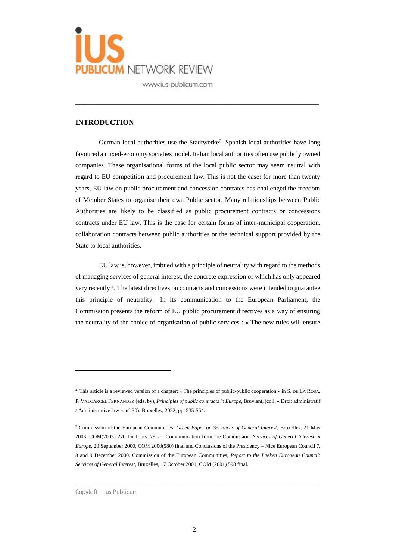

#### **INTRODUCTION**

German local authorities use the Stadtwerke<sup>2</sup>. Spanish local authorities have long favoured a mixed-economy societies model. Italian local authorities often use publicly owned companies. These organisational forms of the local public sector may seem neutral with regard to EU competition and procurement law. This is not the case: for more than twenty years, EU law on public procurement and concession contratcs has challenged the freedom of Member States to organise their own Public sector. Many relationships between Public Authorities are likely to be classified as public procurement contracts or concessions contracts under EU law. This is the case for certain forms of inter-municipal cooperation, collaboration contracts between public authorities or the technical support provided by the State to local authorities.

\_\_\_\_\_\_\_\_\_\_\_\_\_\_\_\_\_\_\_\_\_\_\_\_\_\_\_\_\_\_\_\_\_\_\_\_\_\_\_\_\_\_\_\_\_\_\_\_\_\_\_\_\_\_\_\_\_\_\_\_\_

EU law is, however, imbued with a principle of neutrality with regard to the methods of managing services of general interest, the concrete expression of which has only appeared very recently <sup>3</sup>. The latest directives on contracts and concessions were intended to guarantee this principle of neutrality. In its communication to the European Parliament, the Commission presents the reform of EU public procurement directives as a way of ensuring the neutrality of the choice of organisation of public services : « The new rules will ensure

 $\_$  ,  $\_$  ,  $\_$  ,  $\_$  ,  $\_$  ,  $\_$  ,  $\_$  ,  $\_$  ,  $\_$  ,  $\_$  ,  $\_$  ,  $\_$  ,  $\_$  ,  $\_$  ,  $\_$  ,  $\_$  ,  $\_$  ,  $\_$  ,  $\_$  ,  $\_$  ,  $\_$  ,  $\_$  ,  $\_$  ,  $\_$  ,  $\_$  ,  $\_$  ,  $\_$  ,  $\_$  ,  $\_$  ,  $\_$  ,  $\_$  ,  $\_$  ,  $\_$  ,  $\_$  ,  $\_$  ,  $\_$  ,  $\_$  ,

Copyleft – Ius Publicum

<sup>2</sup> This article is a reviewed version of a chapter: « The principles of public-public cooperation » in S. DE LA ROSA, P. VALCARCEL FERNANDEZ (eds. by), *Principles of public contracts in Europe*, Bruylant, (coll. « Droit administratif / Administrative law », n° 30), Bruxelles, 2022, pp. 535-554.

<sup>3</sup> Commission of the European Communities, *Green Paper on Servoices of General Interest*, Bruxelles, 21 May 2003, COM(2003) 270 final, pts. 79 s. ; Communication from the Commission, *Services of General Interest in Europe*, 20 September 2000, COM 2000(580) final and Conclusions of the Presidency – Nice European Council 7, 8 and 9 December 2000. Commission of the European Communities, *Report to the Laeken European Council: Services of General Interest*, Bruxelles, 17 October 2001, COM (2001) 598 final.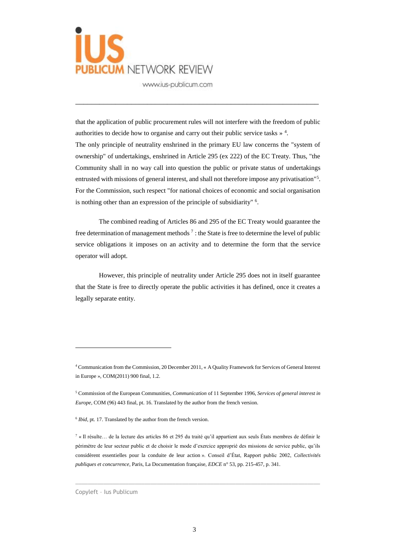

that the application of public procurement rules will not interfere with the freedom of public authorities to decide how to organise and carry out their public service tasks  $\frac{1}{2}$ . The only principle of neutrality enshrined in the primary EU law concerns the "system of ownership" of undertakings, enshrined in Article 295 (ex 222) of the EC Treaty. Thus, "the Community shall in no way call into question the public or private status of undertakings entrusted with missions of general interest, and shall not therefore impose any privatisation"<sup>5</sup>. For the Commission, such respect "for national choices of economic and social organisation is nothing other than an expression of the principle of subsidiarity" <sup>6</sup>.

\_\_\_\_\_\_\_\_\_\_\_\_\_\_\_\_\_\_\_\_\_\_\_\_\_\_\_\_\_\_\_\_\_\_\_\_\_\_\_\_\_\_\_\_\_\_\_\_\_\_\_\_\_\_\_\_\_\_\_\_\_

The combined reading of Articles 86 and 295 of the EC Treaty would guarantee the free determination of management methods<sup>7</sup>: the State is free to determine the level of public service obligations it imposes on an activity and to determine the form that the service operator will adopt.

However, this principle of neutrality under Article 295 does not in itself guarantee that the State is free to directly operate the public activities it has defined, once it creates a legally separate entity.

 $\_$  ,  $\_$  ,  $\_$  ,  $\_$  ,  $\_$  ,  $\_$  ,  $\_$  ,  $\_$  ,  $\_$  ,  $\_$  ,  $\_$  ,  $\_$  ,  $\_$  ,  $\_$  ,  $\_$  ,  $\_$  ,  $\_$  ,  $\_$  ,  $\_$  ,  $\_$  ,  $\_$  ,  $\_$  ,  $\_$  ,  $\_$  ,  $\_$  ,  $\_$  ,  $\_$  ,  $\_$  ,  $\_$  ,  $\_$  ,  $\_$  ,  $\_$  ,  $\_$  ,  $\_$  ,  $\_$  ,  $\_$  ,  $\_$  ,

<sup>4</sup> Communication from the Commission, 20 December 2011, « A Quality Framework for Services of General Interest in Europe », COM(2011) 900 final, 1.2.

<sup>5</sup> Commission of the European Communities, *Communication* of 11 September 1996, *Services of general interest in Europe*, COM (96) 443 final, pt. 16. Translated by the author from the french version.

<sup>&</sup>lt;sup>6</sup> *Ibid*, pt. 17. Translated by the author from the french version.

<sup>7</sup> « Il résulte… de la lecture des articles 86 et 295 du traité qu'il appartient aux seuls États membres de définir le périmètre de leur secteur public et de choisir le mode d'exercice approprié des missions de service public, qu'ils considèrent essentielles pour la conduite de leur action ». Conseil d'État, Rapport public 2002, *Collectivités publiques et concurrence*, Paris, La Documentation française, *EDCE* n° 53, pp. 215-457, p. 341.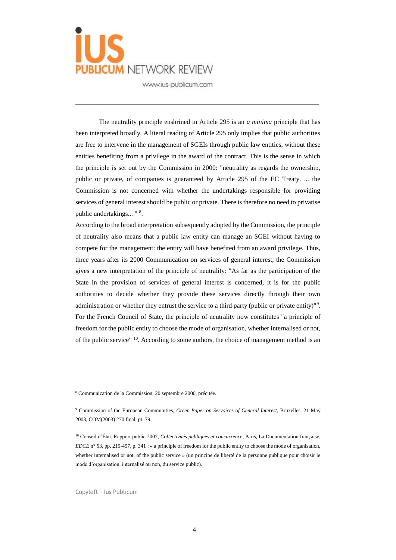

The neutrality principle enshrined in Article 295 is an *a minima* principle that has been interpreted broadly. A literal reading of Article 295 only implies that public authorities are free to intervene in the management of SGEIs through public law entities, without these entities benefiting from a privilege in the award of the contract. This is the sense in which the principle is set out by the Commission in 2000: "neutrality as regards the ownership, public or private, of companies is guaranteed by Article 295 of the EC Treaty. ... the Commission is not concerned with whether the undertakings responsible for providing services of general interest should be public or private. There is therefore no need to privatise public undertakings... "<sup>8</sup>.

\_\_\_\_\_\_\_\_\_\_\_\_\_\_\_\_\_\_\_\_\_\_\_\_\_\_\_\_\_\_\_\_\_\_\_\_\_\_\_\_\_\_\_\_\_\_\_\_\_\_\_\_\_\_\_\_\_\_\_\_\_

According to the broad interpretation subsequently adopted by the Commission, the principle of neutrality also means that a public law entity can manage an SGEI without having to compete for the management: the entity will have benefited from an award privilege. Thus, three years after its 2000 Communication on services of general interest, the Commission gives a new interpretation of the principle of neutrality: "As far as the participation of the State in the provision of services of general interest is concerned, it is for the public authorities to decide whether they provide these services directly through their own administration or whether they entrust the service to a third party (public or private entity)"<sup>9</sup>. For the French Council of State, the principle of neutrality now constitutes "a principle of freedom for the public entity to choose the mode of organisation, whether internalised or not, of the public service" <sup>10</sup>. According to some authors, the choice of management method is an

 $\_$  ,  $\_$  ,  $\_$  ,  $\_$  ,  $\_$  ,  $\_$  ,  $\_$  ,  $\_$  ,  $\_$  ,  $\_$  ,  $\_$  ,  $\_$  ,  $\_$  ,  $\_$  ,  $\_$  ,  $\_$  ,  $\_$  ,  $\_$  ,  $\_$  ,  $\_$  ,  $\_$  ,  $\_$  ,  $\_$  ,  $\_$  ,  $\_$  ,  $\_$  ,  $\_$  ,  $\_$  ,  $\_$  ,  $\_$  ,  $\_$  ,  $\_$  ,  $\_$  ,  $\_$  ,  $\_$  ,  $\_$  ,  $\_$  ,

<sup>8</sup> Communication de la Commission, 20 septembre 2000, précitée.

<sup>9</sup> Commission of the European Communities, *Green Paper on Servoices of General Interest*, Bruxelles, 21 May 2003, COM(2003) 270 final, pt. 79.

<sup>10</sup> Conseil d'État, Rapport public 2002, *Collectivités publiques et concurrence*, Paris, La Documentation française, *EDCE* n° 53, pp. 215-457, p. 341 : « a principle of freedom for the public entity to choose the mode of organisation, whether internalised or not, of the public service » (un principe de liberté de la personne publique pour choisir le mode d'organisation, internalisé ou non, du service public).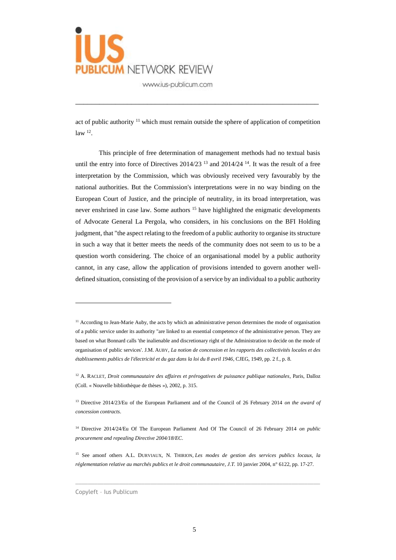

act of public authority  $11$  which must remain outside the sphere of application of competition  $law<sup>12</sup>$ .

\_\_\_\_\_\_\_\_\_\_\_\_\_\_\_\_\_\_\_\_\_\_\_\_\_\_\_\_\_\_\_\_\_\_\_\_\_\_\_\_\_\_\_\_\_\_\_\_\_\_\_\_\_\_\_\_\_\_\_\_\_

This principle of free determination of management methods had no textual basis until the entry into force of Directives  $2014/23$  <sup>13</sup> and  $2014/24$  <sup>14</sup>. It was the result of a free interpretation by the Commission, which was obviously received very favourably by the national authorities. But the Commission's interpretations were in no way binding on the European Court of Justice, and the principle of neutrality, in its broad interpretation, was never enshrined in case law. Some authors  $15$  have highlighted the enigmatic developments of Advocate General La Pergola, who considers, in his conclusions on the BFI Holding judgment, that "the aspect relating to the freedom of a public authority to organise its structure in such a way that it better meets the needs of the community does not seem to us to be a question worth considering. The choice of an organisational model by a public authority cannot, in any case, allow the application of provisions intended to govern another welldefined situation, consisting of the provision of a service by an individual to a public authority

 $\_$  ,  $\_$  ,  $\_$  ,  $\_$  ,  $\_$  ,  $\_$  ,  $\_$  ,  $\_$  ,  $\_$  ,  $\_$  ,  $\_$  ,  $\_$  ,  $\_$  ,  $\_$  ,  $\_$  ,  $\_$  ,  $\_$  ,  $\_$  ,  $\_$  ,  $\_$  ,  $\_$  ,  $\_$  ,  $\_$  ,  $\_$  ,  $\_$  ,  $\_$  ,  $\_$  ,  $\_$  ,  $\_$  ,  $\_$  ,  $\_$  ,  $\_$  ,  $\_$  ,  $\_$  ,  $\_$  ,  $\_$  ,  $\_$  ,

<sup>&</sup>lt;sup>11</sup> According to Jean-Marie Auby, the acts by which an administrative person determines the mode of organisation of a public service under its authority "are linked to an essential competence of the administrative person. They are based on what Bonnard calls 'the inalienable and discretionary right of the Administration to decide on the mode of organisation of public services'. J.M. AUBY, *La notion de concession et les rapports des collectivités locales et des établissements publics de l'électricité et du gaz dans la loi du 8 avril 1946*, CJEG, 1949, pp. 2 f., p. 8.

<sup>&</sup>lt;sup>12</sup> A. RACLET, *Droit communautaire des affaires et prérogatives de puissance publique nationales*, Paris, Dalloz (Coll. « Nouvelle bibliothèque de thèses »), 2002, p. 315.

<sup>13</sup> Directive 2014/23/Eu of the European Parliament and of the Council of 26 February 2014 *on the award of concession contracts*.

<sup>14</sup> Directive 2014/24/Eu Of The European Parliament And Of The Council of 26 February 2014 *on public procurement and repealing Directive 2004/18/EC*.

<sup>15</sup> See amonf others A.L. DURVIAUX, N. THIRION, *Les modes de gestion des services publics locaux, la réglementation relative au marchés publics et le droit communautaire*, *J.T.* 10 janvier 2004, n° 6122, pp. 17-27.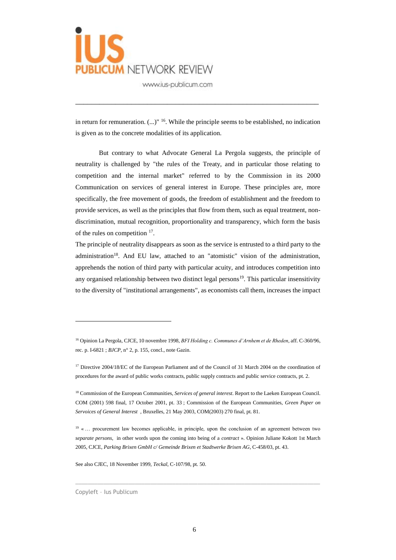

in return for remuneration.  $(...)$ <sup>16</sup>. While the principle seems to be established, no indication is given as to the concrete modalities of its application.

\_\_\_\_\_\_\_\_\_\_\_\_\_\_\_\_\_\_\_\_\_\_\_\_\_\_\_\_\_\_\_\_\_\_\_\_\_\_\_\_\_\_\_\_\_\_\_\_\_\_\_\_\_\_\_\_\_\_\_\_\_

But contrary to what Advocate General La Pergola suggests, the principle of neutrality is challenged by "the rules of the Treaty, and in particular those relating to competition and the internal market" referred to by the Commission in its 2000 Communication on services of general interest in Europe. These principles are, more specifically, the free movement of goods, the freedom of establishment and the freedom to provide services, as well as the principles that flow from them, such as equal treatment, nondiscrimination, mutual recognition, proportionality and transparency, which form the basis of the rules on competition  $17$ .

The principle of neutrality disappears as soon as the service is entrusted to a third party to the administration<sup>18</sup>. And EU law, attached to an "atomistic" vision of the administration, apprehends the notion of third party with particular acuity, and introduces competition into any organised relationship between two distinct legal persons $19$ . This particular insensitivity to the diversity of "institutional arrangements", as economists call them, increases the impact

 $\_$  ,  $\_$  ,  $\_$  ,  $\_$  ,  $\_$  ,  $\_$  ,  $\_$  ,  $\_$  ,  $\_$  ,  $\_$  ,  $\_$  ,  $\_$  ,  $\_$  ,  $\_$  ,  $\_$  ,  $\_$  ,  $\_$  ,  $\_$  ,  $\_$  ,  $\_$  ,  $\_$  ,  $\_$  ,  $\_$  ,  $\_$  ,  $\_$  ,  $\_$  ,  $\_$  ,  $\_$  ,  $\_$  ,  $\_$  ,  $\_$  ,  $\_$  ,  $\_$  ,  $\_$  ,  $\_$  ,  $\_$  ,  $\_$  ,

See also CJEC, 18 November 1999, *Teckal*, C-107/98, pt. 50.

Copyleft – Ius Publicum

<sup>16</sup> Opinion La Pergola, CJCE, 10 novembre 1998, *BFI Holding c. Communes d'Arnhem et de Rheden*, aff. C-360/96, rec. p. I-6821 ; *BJCP*, n° 2, p. 155, concl., note Gazin.

<sup>&</sup>lt;sup>17</sup> Directive 2004/18/EC of the European Parliament and of the Council of 31 March 2004 on the coordination of procedures for the award of public works contracts, public supply contracts and public service contracts, pt. 2.

<sup>18</sup> Commission of the European Communities, *Services of general interest*. Report to the Laeken European Council. COM (2001) 598 final, 17 October 2001, pt. 33 ; Commission of the European Communities, *Green Paper on Servoices of General Interest* , Bruxelles, 21 May 2003, COM(2003) 270 final, pt. 81.

<sup>&</sup>lt;sup>19</sup> «... procurement law becomes applicable, in principle, upon the conclusion of an agreement between two *separate persons*, in other words upon the coming into being of a *contract* ». Opinion Juliane Kokott 1st March 2005, CJCE, *Parking Brixen GmbH c/ Gemeinde Brixen et Stadtwerke Brixen AG*, C-458/03, pt. 43.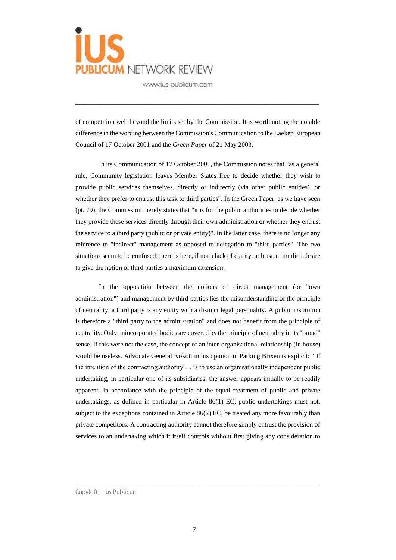

of competition well beyond the limits set by the Commission. It is worth noting the notable difference in the wording between the Commission's Communication to the Laeken European Council of 17 October 2001 and the *Green Paper* of 21 May 2003.

\_\_\_\_\_\_\_\_\_\_\_\_\_\_\_\_\_\_\_\_\_\_\_\_\_\_\_\_\_\_\_\_\_\_\_\_\_\_\_\_\_\_\_\_\_\_\_\_\_\_\_\_\_\_\_\_\_\_\_\_\_

In its Communication of 17 October 2001, the Commission notes that "as a general rule, Community legislation leaves Member States free to decide whether they wish to provide public services themselves, directly or indirectly (via other public entities), or whether they prefer to entrust this task to third parties". In the Green Paper, as we have seen (pt. 79), the Commission merely states that "it is for the public authorities to decide whether they provide these services directly through their own administration or whether they entrust the service to a third party (public or private entity)". In the latter case, there is no longer any reference to "indirect" management as opposed to delegation to "third parties". The two situations seem to be confused; there is here, if not a lack of clarity, at least an implicit desire to give the notion of third parties a maximum extension.

In the opposition between the notions of direct management (or "own administration") and management by third parties lies the misunderstanding of the principle of neutrality: a third party is any entity with a distinct legal personality. A public institution is therefore a "third party to the administration" and does not benefit from the principle of neutrality. Only unincorporated bodies are covered by the principle of neutrality in its "broad" sense. If this were not the case, the concept of an inter-organisational relationship (in house) would be useless. Advocate General Kokott in his opinion in Parking Brixen is explicit: " If the intention of the contracting authority … is to use an organisationally independent public undertaking, in particular one of its subsidiaries, the answer appears initially to be readily apparent. In accordance with the principle of the equal treatment of public and private undertakings, as defined in particular in Article 86(1) EC, public undertakings must not, subject to the exceptions contained in Article 86(2) EC, be treated any more favourably than private competitors. A contracting authority cannot therefore simply entrust the provision of services to an undertaking which it itself controls without first giving any consideration to

 $\_$  ,  $\_$  ,  $\_$  ,  $\_$  ,  $\_$  ,  $\_$  ,  $\_$  ,  $\_$  ,  $\_$  ,  $\_$  ,  $\_$  ,  $\_$  ,  $\_$  ,  $\_$  ,  $\_$  ,  $\_$  ,  $\_$  ,  $\_$  ,  $\_$  ,  $\_$  ,  $\_$  ,  $\_$  ,  $\_$  ,  $\_$  ,  $\_$  ,  $\_$  ,  $\_$  ,  $\_$  ,  $\_$  ,  $\_$  ,  $\_$  ,  $\_$  ,  $\_$  ,  $\_$  ,  $\_$  ,  $\_$  ,  $\_$  ,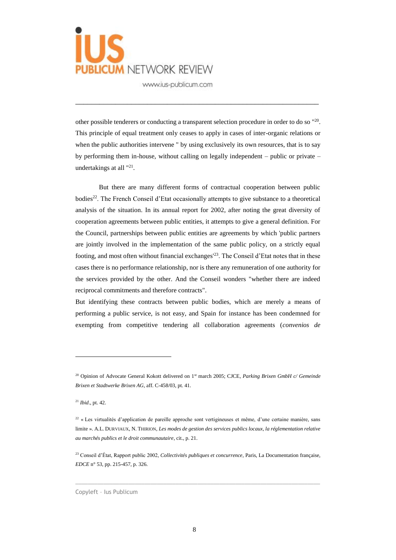

other possible tenderers or conducting a transparent selection procedure in order to do so "<sup>20</sup>. This principle of equal treatment only ceases to apply in cases of inter-organic relations or when the public authorities intervene " by using exclusively its own resources, that is to say by performing them in-house, without calling on legally independent – public or private – undertakings at all "<sup>21</sup>.

\_\_\_\_\_\_\_\_\_\_\_\_\_\_\_\_\_\_\_\_\_\_\_\_\_\_\_\_\_\_\_\_\_\_\_\_\_\_\_\_\_\_\_\_\_\_\_\_\_\_\_\_\_\_\_\_\_\_\_\_\_

But there are many different forms of contractual cooperation between public bodies<sup>22</sup>. The French Conseil d'Etat occasionally attempts to give substance to a theoretical analysis of the situation. In its annual report for 2002, after noting the great diversity of cooperation agreements between public entities, it attempts to give a general definition. For the Council, partnerships between public entities are agreements by which 'public partners are jointly involved in the implementation of the same public policy, on a strictly equal footing, and most often without financial exchanges<sup> $23$ </sup>. The Conseil d'Etat notes that in these cases there is no performance relationship, nor is there any remuneration of one authority for the services provided by the other. And the Conseil wonders "whether there are indeed reciprocal commitments and therefore contracts".

But identifying these contracts between public bodies, which are merely a means of performing a public service, is not easy, and Spain for instance has been condemned for exempting from competitive tendering all collaboration agreements (*convenios de* 

 $\overline{a}$ 

 $\_$  ,  $\_$  ,  $\_$  ,  $\_$  ,  $\_$  ,  $\_$  ,  $\_$  ,  $\_$  ,  $\_$  ,  $\_$  ,  $\_$  ,  $\_$  ,  $\_$  ,  $\_$  ,  $\_$  ,  $\_$  ,  $\_$  ,  $\_$  ,  $\_$  ,  $\_$  ,  $\_$  ,  $\_$  ,  $\_$  ,  $\_$  ,  $\_$  ,  $\_$  ,  $\_$  ,  $\_$  ,  $\_$  ,  $\_$  ,  $\_$  ,  $\_$  ,  $\_$  ,  $\_$  ,  $\_$  ,  $\_$  ,  $\_$  ,

<sup>&</sup>lt;sup>20</sup> Opinion of Advocate General Kokott delivered on 1<sup>st</sup> march 2005; CJCE, *Parking Brixen GmbH c/ Gemeinde Brixen et Stadtwerke Brixen AG*, aff. C-458/03, pt. 41.

<sup>21</sup> *Ibid*., pt. 42.

<sup>&</sup>lt;sup>22</sup> « Les virtualités d'application de pareille approche sont vertigineuses et même, d'une certaine manière, sans limite ». A.L. DURVIAUX, N. THIRION, *Les modes de gestion des services publics locaux, la réglementation relative au marchés publics et le droit communautaire*, cit., p. 21.

<sup>23</sup> Conseil d'État, Rapport public 2002, *Collectivités publiques et concurrence*, Paris, La Documentation française, *EDCE* n° 53, pp. 215-457, p. 326.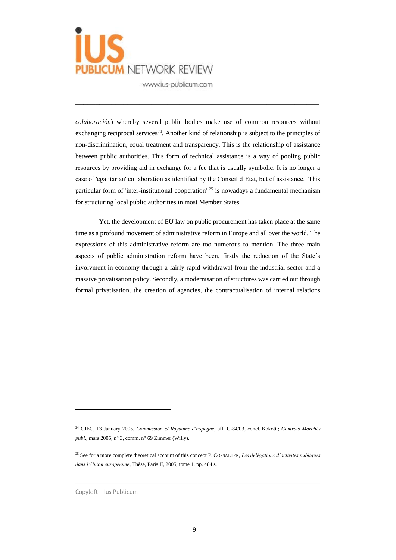

*colaboración*) whereby several public bodies make use of common resources without exchanging reciprocal services<sup>24</sup>. Another kind of relationship is subject to the principles of non-discrimination, equal treatment and transparency. This is the relationship of assistance between public authorities. This form of technical assistance is a way of pooling public resources by providing aid in exchange for a fee that is usually symbolic. It is no longer a case of 'egalitarian' collaboration as identified by the Conseil d'Etat, but of assistance. This particular form of 'inter-institutional cooperation' <sup>25</sup> is nowadays a fundamental mechanism for structuring local public authorities in most Member States.

\_\_\_\_\_\_\_\_\_\_\_\_\_\_\_\_\_\_\_\_\_\_\_\_\_\_\_\_\_\_\_\_\_\_\_\_\_\_\_\_\_\_\_\_\_\_\_\_\_\_\_\_\_\_\_\_\_\_\_\_\_

Yet, the development of EU law on public procurement has taken place at the same time as a profound movement of administrative reform in Europe and all over the world. The expressions of this administrative reform are too numerous to mention. The three main aspects of public administration reform have been, firstly the reduction of the State's involvment in economy through a fairly rapid withdrawal from the industrial sector and a massive privatisation policy. Secondly, a modernisation of structures was carried out through formal privatisation, the creation of agencies, the contractualisation of internal relations

 $\_$  ,  $\_$  ,  $\_$  ,  $\_$  ,  $\_$  ,  $\_$  ,  $\_$  ,  $\_$  ,  $\_$  ,  $\_$  ,  $\_$  ,  $\_$  ,  $\_$  ,  $\_$  ,  $\_$  ,  $\_$  ,  $\_$  ,  $\_$  ,  $\_$  ,  $\_$  ,  $\_$  ,  $\_$  ,  $\_$  ,  $\_$  ,  $\_$  ,  $\_$  ,  $\_$  ,  $\_$  ,  $\_$  ,  $\_$  ,  $\_$  ,  $\_$  ,  $\_$  ,  $\_$  ,  $\_$  ,  $\_$  ,  $\_$  ,

<sup>24</sup> CJEC, 13 January 2005, *Commission c/ Royaume d'Espagne*, aff. C-84/03, concl. Kokott ; *Contrats Marchés publ*., mars 2005, n° 3, comm. n° 69 Zimmer (Willy).

<sup>25</sup> See for a more complete theoretical account of this concept P. COSSALTER, *Les délégations d'activités publiques dans l'Union européenne*, Thèse, Paris II, 2005, tome 1, pp. 484 s.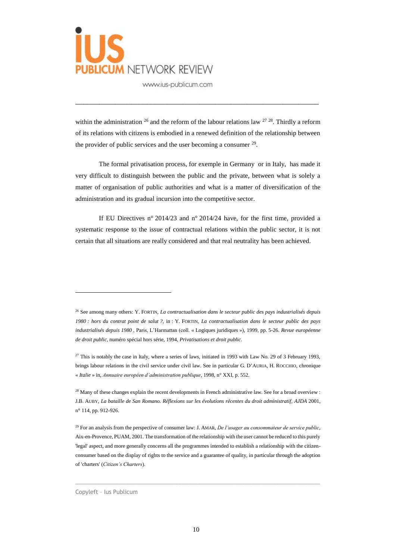

within the administration  $^{26}$  and the reform of the labour relations law  $^{27}$  <sup>28</sup>. Thirdly a reform of its relations with citizens is embodied in a renewed definition of the relationship between the provider of public services and the user becoming a consumer  $29$ .

\_\_\_\_\_\_\_\_\_\_\_\_\_\_\_\_\_\_\_\_\_\_\_\_\_\_\_\_\_\_\_\_\_\_\_\_\_\_\_\_\_\_\_\_\_\_\_\_\_\_\_\_\_\_\_\_\_\_\_\_\_

The formal privatisation process, for exemple in Germany or in Italy, has made it very difficult to distinguish between the public and the private, between what is solely a matter of organisation of public authorities and what is a matter of diversification of the administration and its gradual incursion into the competitive sector.

If EU Directives n° 2014/23 and n° 2014/24 have, for the first time, provided a systematic response to the issue of contractual relations within the public sector, it is not certain that all situations are really considered and that real neutrality has been achieved.

 $\_$  ,  $\_$  ,  $\_$  ,  $\_$  ,  $\_$  ,  $\_$  ,  $\_$  ,  $\_$  ,  $\_$  ,  $\_$  ,  $\_$  ,  $\_$  ,  $\_$  ,  $\_$  ,  $\_$  ,  $\_$  ,  $\_$  ,  $\_$  ,  $\_$  ,  $\_$  ,  $\_$  ,  $\_$  ,  $\_$  ,  $\_$  ,  $\_$  ,  $\_$  ,  $\_$  ,  $\_$  ,  $\_$  ,  $\_$  ,  $\_$  ,  $\_$  ,  $\_$  ,  $\_$  ,  $\_$  ,  $\_$  ,  $\_$  ,

<sup>26</sup> See among many others: Y. FORTIN, *La contractualisation dans le secteur public des pays industrialisés depuis 1980 : hors du contrat point de salut ?*, in : Y. FORTIN, *La contractualisation dans le secteur public des pays industrialisés depuis 1980* , Paris, L'Harmattan (coll. « Logiques juridiques »), 1999, pp. 5-26. *Revue européenne de droit public*, numéro spécial hors série, 1994, *Privatisations et droit public*.

 $27$  This is notably the case in Italy, where a series of laws, initiated in 1993 with Law No. 29 of 3 February 1993, brings labour relations in the civil service under civil law. See in particular G. D'AURIA, H. ROCCHIO, chronique « *Italie* » in, *Annuaire européen d'administration publique*, 1998, n° XXI, p. 552.

 $^{28}$  Many of these changes explain the recent developments in French administrative law. See for a broad overview : J.B. AUBY, *La bataille de San Romano. Réflexions sur les évolutions récentes du droit administratif*, *AJDA* 2001, n° 114, pp. 912-926.

<sup>29</sup> For an analysis from the perspective of consumer law: J. AMAR, *De l'usager au consommateur de service public*, Aix-en-Provence, PUAM, 2001. The transformation of the relationship with the user cannot be reduced to this purely 'legal' aspect, and more generally concerns all the programmes intended to establish a relationship with the citizenconsumer based on the display of rights to the service and a guarantee of quality, in particular through the adoption of 'charters' (*Citizen's Charters*).

Copyleft – Ius Publicum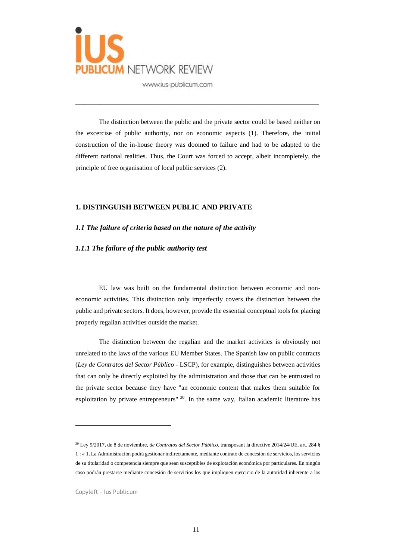

The distinction between the public and the private sector could be based neither on the excercise of public authority, nor on economic aspects (1). Therefore, the initial construction of the in-house theory was doomed to failure and had to be adapted to the different national realities. Thus, the Court was forced to accept, albeit incompletely, the principle of free organisation of local public services (2).

\_\_\_\_\_\_\_\_\_\_\_\_\_\_\_\_\_\_\_\_\_\_\_\_\_\_\_\_\_\_\_\_\_\_\_\_\_\_\_\_\_\_\_\_\_\_\_\_\_\_\_\_\_\_\_\_\_\_\_\_\_

#### **1. DISTINGUISH BETWEEN PUBLIC AND PRIVATE**

#### *1.1 The failure of criteria based on the nature of the activity*

#### *1.1.1 The failure of the public authority test*

EU law was built on the fundamental distinction between economic and noneconomic activities. This distinction only imperfectly covers the distinction between the public and private sectors. It does, however, provide the essential conceptual tools for placing properly regalian activities outside the market.

The distinction between the regalian and the market activities is obviously not unrelated to the laws of the various EU Member States. The Spanish law on public contracts (*Ley de Contratos del Sector Público* - LSCP), for example, distinguishes between activities that can only be directly exploited by the administration and those that can be entrusted to the private sector because they have "an economic content that makes them suitable for exploitation by private entrepreneurs" 30. In the same way, Italian academic literature has

 $\_$  ,  $\_$  ,  $\_$  ,  $\_$  ,  $\_$  ,  $\_$  ,  $\_$  ,  $\_$  ,  $\_$  ,  $\_$  ,  $\_$  ,  $\_$  ,  $\_$  ,  $\_$  ,  $\_$  ,  $\_$  ,  $\_$  ,  $\_$  ,  $\_$  ,  $\_$  ,  $\_$  ,  $\_$  ,  $\_$  ,  $\_$  ,  $\_$  ,  $\_$  ,  $\_$  ,  $\_$  ,  $\_$  ,  $\_$  ,  $\_$  ,  $\_$  ,  $\_$  ,  $\_$  ,  $\_$  ,  $\_$  ,  $\_$  ,

<sup>30</sup> Ley 9/2017, de 8 de noviembre, *de Contratos del Sector Público*, transposant la directive 2014/24/UE, art. 284 § 1 : « 1. La Administración podrá gestionar indirectamente, mediante contrato de concesión de servicios, los servicios de su titularidad o competencia siempre que sean susceptibles de explotación económica por particulares. En ningún caso podrán prestarse mediante concesión de servicios los que impliquen ejercicio de la autoridad inherente a los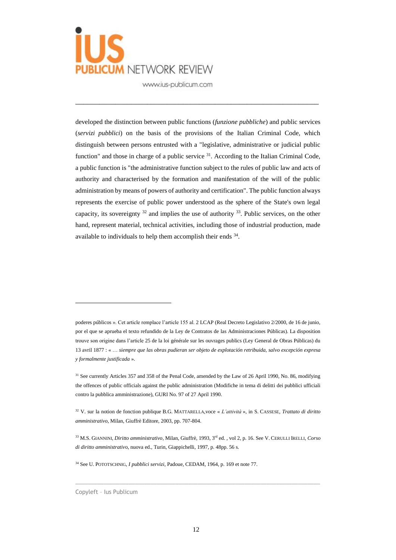

developed the distinction between public functions (*funzione pubbliche*) and public services (*servizi pubblici*) on the basis of the provisions of the Italian Criminal Code, which distinguish between persons entrusted with a "legislative, administrative or judicial public function" and those in charge of a public service  $31$ . According to the Italian Criminal Code, a public function is "the administrative function subject to the rules of public law and acts of authority and characterised by the formation and manifestation of the will of the public administration by means of powers of authority and certification". The public function always represents the exercise of public power understood as the sphere of the State's own legal capacity, its sovereignty  $32$  and implies the use of authority  $33$ . Public services, on the other hand, represent material, technical activities, including those of industrial production, made available to individuals to help them accomplish their ends  $34$ .

\_\_\_\_\_\_\_\_\_\_\_\_\_\_\_\_\_\_\_\_\_\_\_\_\_\_\_\_\_\_\_\_\_\_\_\_\_\_\_\_\_\_\_\_\_\_\_\_\_\_\_\_\_\_\_\_\_\_\_\_\_

 $\_$  ,  $\_$  ,  $\_$  ,  $\_$  ,  $\_$  ,  $\_$  ,  $\_$  ,  $\_$  ,  $\_$  ,  $\_$  ,  $\_$  ,  $\_$  ,  $\_$  ,  $\_$  ,  $\_$  ,  $\_$  ,  $\_$  ,  $\_$  ,  $\_$  ,  $\_$  ,  $\_$  ,  $\_$  ,  $\_$  ,  $\_$  ,  $\_$  ,  $\_$  ,  $\_$  ,  $\_$  ,  $\_$  ,  $\_$  ,  $\_$  ,  $\_$  ,  $\_$  ,  $\_$  ,  $\_$  ,  $\_$  ,  $\_$  ,

poderes públicos ». Cet article remplace l'article 155 al. 2 LCAP (Real Decreto Legislativo 2/2000, de 16 de junio, por el que se aprueba el texto refundido de la Ley de Contratos de las Administraciones Públicas). La disposition trouve son origine dans l'article 25 de la loi générale sur les ouvrages publics (Ley General de Obras Públicas) du 13 avril 1877 : « … *siempre que las obras pudieran ser objeto de explotación retribuida, salvo excepción expresa y formalmente justificada* ».

<sup>&</sup>lt;sup>31</sup> See currently Articles 357 and 358 of the Penal Code, amended by the Law of 26 April 1990, No. 86, modifying the offences of public officials against the public administration (Modifiche in tema di delitti dei pubblici ufficiali contro la pubblica amministrazione), GURI No. 97 of 27 April 1990.

<sup>32</sup> V. sur la notion de fonction publique B.G. MATTARELLA,voce « *L'attività* », in S. CASSESE, *Trattato di diritto amministrativo*, Milan, Giuffrè Editore, 2003, pp. 707-804.

<sup>33</sup> M.S. GIANNINI, *Diritto amministrativo*, Milan, Giuffrè, 1993, 3 rd ed. , vol 2, p. 16. See V. CERULLI IRELLI, *Corso di diritto amministrativ*o, nuova ed., Turin, Giappichelli, 1997, p. 48pp. 56 s.

<sup>34</sup> See U. POTOTSCHNIG, *I pubblici servizi*, Padoue, CEDAM, 1964, p. 169 et note 77.

Copyleft – Ius Publicum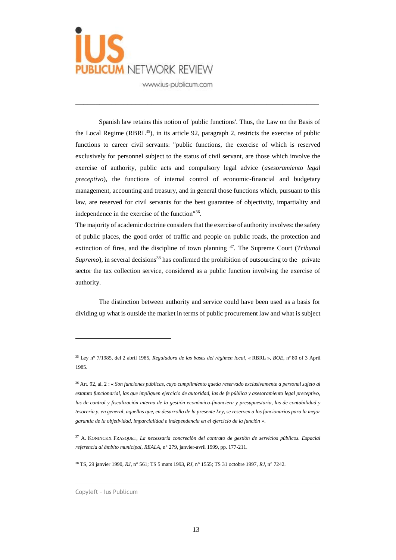

Spanish law retains this notion of 'public functions'. Thus, the Law on the Basis of the Local Regime  $(RBRL<sup>35</sup>)$ , in its article 92, paragraph 2, restricts the exercise of public functions to career civil servants: "public functions, the exercise of which is reserved exclusively for personnel subject to the status of civil servant, are those which involve the exercise of authority, public acts and compulsory legal advice (*asesoramiento legal preceptivo*), the functions of internal control of economic-financial and budgetary management, accounting and treasury, and in general those functions which, pursuant to this law, are reserved for civil servants for the best guarantee of objectivity, impartiality and independence in the exercise of the function"<sup>36</sup>.

\_\_\_\_\_\_\_\_\_\_\_\_\_\_\_\_\_\_\_\_\_\_\_\_\_\_\_\_\_\_\_\_\_\_\_\_\_\_\_\_\_\_\_\_\_\_\_\_\_\_\_\_\_\_\_\_\_\_\_\_\_

The majority of academic doctrine considers that the exercise of authority involves: the safety of public places, the good order of traffic and people on public roads, the protection and extinction of fires, and the discipline of town planning <sup>37</sup>. The Supreme Court (*Tribunal Supremo*), in several decisions<sup>38</sup> has confirmed the prohibition of outsourcing to the private sector the tax collection service, considered as a public function involving the exercise of authority.

The distinction between authority and service could have been used as a basis for dividing up what is outside the market in terms of public procurement law and what is subject

 $\_$  , and the set of the set of the set of the set of the set of the set of the set of the set of the set of the set of the set of the set of the set of the set of the set of the set of the set of the set of the set of th

<sup>38</sup> TS, 29 janvier 1990, *RJ*, n° 561; TS 5 mars 1993, *RJ*, n° 1555; TS 31 octobre 1997, *RJ*, n° 7242.

Copyleft – Ius Publicum

<sup>35</sup> Ley n° 7/1985, del 2 abril 1985, *Reguladora de las bases del régimen local*, « RBRL », *BOE*, nº 80 of 3 April 1985.

<sup>36</sup> Art. 92, al. 2 : « *Son funciones públicas, cuyo cumplimiento queda reservado exclusivamente a personal sujeto al estatuto funcionarial, las que impliquen ejercicio de autoridad, las de fe pública y asesoramiento legal preceptivo, las de control y fiscalización interna de la gestión económico-financiera y presupuestaria, las de contabilidad y tesorería y, en general, aquellas que, en desarrollo de la presente Ley, se reserven a los funcionarios para la mejor garantía de la objetividad, imparcialidad e independencia en el ejercicio de la función »*.

<sup>37</sup> A. KONINCKX FRASQUET, *La necessaria concreciòn del contrato de gestiòn de servicios públicos. Espacial referencia al ámbito municipal*, *REALA*, n° 279, janvier-avril 1999, pp. 177-211.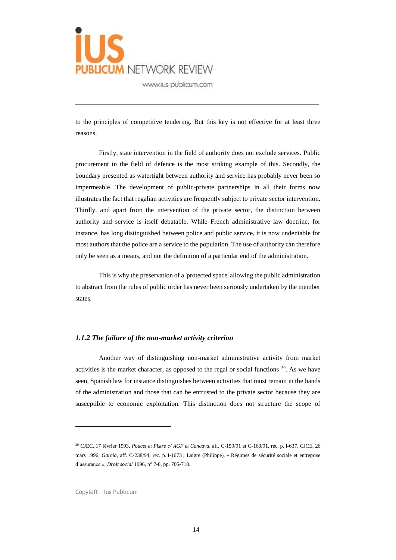

to the principles of competitive tendering. But this key is not effective for at least three reasons.

\_\_\_\_\_\_\_\_\_\_\_\_\_\_\_\_\_\_\_\_\_\_\_\_\_\_\_\_\_\_\_\_\_\_\_\_\_\_\_\_\_\_\_\_\_\_\_\_\_\_\_\_\_\_\_\_\_\_\_\_\_

Firstly, state intervention in the field of authority does not exclude services. Public procurement in the field of defence is the most striking example of this. Secondly, the boundary presented as watertight between authority and service has probably never been so impermeable. The development of public-private partnerships in all their forms now illustrates the fact that regalian activities are frequently subject to private sector intervention. Thirdly, and apart from the intervention of the private sector, the distinction between authority and service is itself debatable. While French administrative law doctrine, for instance, has long distinguished between police and public service, it is now undeniable for most authors that the police are a service to the population. The use of authority can therefore only be seen as a means, and not the definition of a particular end of the administration.

This is why the preservation of a 'protected space' allowing the public administration to abstract from the rules of public order has never been seriously undertaken by the member states.

#### *1.1.2 The failure of the non-market activity criterion*

Another way of distinguishing non-market administrative activity from market activities is the market character, as opposed to the regal or social functions  $39$ . As we have seen, Spanish law for instance distinguishes between activities that must remain in the hands of the administration and those that can be entrusted to the private sector because they are susceptible to economic exploitation. This distinction does not structure the scope of

 $\_$  , and the set of the set of the set of the set of the set of the set of the set of the set of the set of the set of the set of the set of the set of the set of the set of the set of the set of the set of the set of th

<sup>39</sup> CJEC, 17 février 1993, *Poucet et Pistre c/ AGF et Cancava*, aff. C-159/91 et C-160/91, rec. p. I-637. CJCE, 26 mars 1996, *Garcia*, aff. C-238/94, rec. p. I-1673 ; Laigre (Philippe), « Régimes de sécurité sociale et entreprise d'assurance », *Droit social* 1996, n° 7-8, pp. 705-718.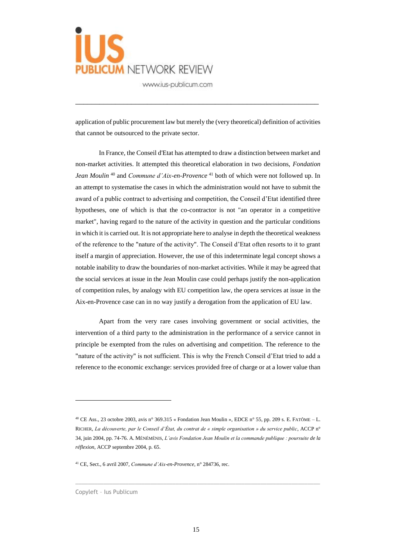

application of public procurement law but merely the (very theoretical) definition of activities that cannot be outsourced to the private sector.

\_\_\_\_\_\_\_\_\_\_\_\_\_\_\_\_\_\_\_\_\_\_\_\_\_\_\_\_\_\_\_\_\_\_\_\_\_\_\_\_\_\_\_\_\_\_\_\_\_\_\_\_\_\_\_\_\_\_\_\_\_

In France, the Conseil d'Etat has attempted to draw a distinction between market and non-market activities. It attempted this theoretical elaboration in two decisions, *Fondation Jean Moulin* <sup>40</sup> and *Commune d'Aix-en-Provence* <sup>41</sup> both of which were not followed up. In an attempt to systematise the cases in which the administration would not have to submit the award of a public contract to advertising and competition, the Conseil d'Etat identified three hypotheses, one of which is that the co-contractor is not "an operator in a competitive market", having regard to the nature of the activity in question and the particular conditions in which it is carried out. It is not appropriate here to analyse in depth the theoretical weakness of the reference to the "nature of the activity". The Conseil d'Etat often resorts to it to grant itself a margin of appreciation. However, the use of this indeterminate legal concept shows a notable inability to draw the boundaries of non-market activities. While it may be agreed that the social services at issue in the Jean Moulin case could perhaps justify the non-application of competition rules, by analogy with EU competition law, the opera services at issue in the Aix-en-Provence case can in no way justify a derogation from the application of EU law.

Apart from the very rare cases involving government or social activities, the intervention of a third party to the administration in the performance of a service cannot in principle be exempted from the rules on advertising and competition. The reference to the "nature of the activity" is not sufficient. This is why the French Conseil d'Etat tried to add a reference to the economic exchange: services provided free of charge or at a lower value than

 $\_$  , and the set of the set of the set of the set of the set of the set of the set of the set of the set of the set of the set of the set of the set of the set of the set of the set of the set of the set of the set of th

<sup>&</sup>lt;sup>40</sup> CE Ass., 23 octobre 2003, avis n° 369.315 « Fondation Jean Moulin », EDCE n° 55, pp. 209 s. E. FATÔME – L. RICHER, *La découverte, par le Conseil d'État, du contrat de « simple organisation » du service public*, ACCP n° 34, juin 2004, pp. 74-76. A. MÉNÉMÉNIS, *L'avis Fondation Jean Moulin et la commande publique : poursuite de la réflexion*, ACCP septembre 2004, p. 65.

<sup>41</sup> CE, Sect., 6 avril 2007, *Commune d'Aix-en-Provence*, n° 284736, rec.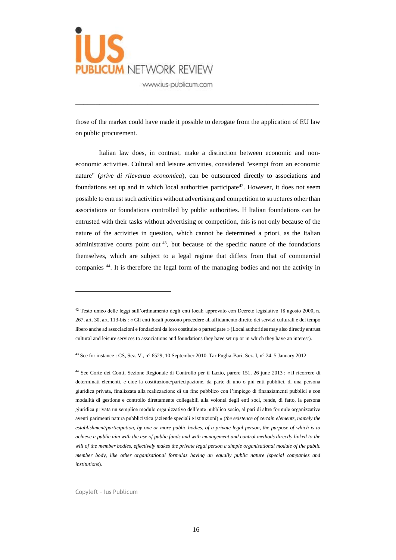

those of the market could have made it possible to derogate from the application of EU law on public procurement.

\_\_\_\_\_\_\_\_\_\_\_\_\_\_\_\_\_\_\_\_\_\_\_\_\_\_\_\_\_\_\_\_\_\_\_\_\_\_\_\_\_\_\_\_\_\_\_\_\_\_\_\_\_\_\_\_\_\_\_\_\_

Italian law does, in contrast, make a distinction between economic and noneconomic activities. Cultural and leisure activities, considered "exempt from an economic nature" (*prive di rilevanza economica*), can be outsourced directly to associations and foundations set up and in which local authorities participate<sup>42</sup>. However, it does not seem possible to entrust such activities without advertising and competition to structures other than associations or foundations controlled by public authorities. If Italian foundations can be entrusted with their tasks without advertising or competition, this is not only because of the nature of the activities in question, which cannot be determined a priori, as the Italian administrative courts point out  $43$ , but because of the specific nature of the foundations themselves, which are subject to a legal regime that differs from that of commercial companies <sup>44</sup>. It is therefore the legal form of the managing bodies and not the activity in

<sup>43</sup> See for instance : CS, Sez. V., n° 6529, 10 September 2010. Tar Puglia-Bari, Sez. I, n° 24, 5 January 2012.

<sup>44</sup> See Corte dei Conti, Sezione Regionale di Controllo per il Lazio, parere 151, 26 june 2013 : « il ricorrere di determinati elementi, e cioè la costituzione/partecipazione, da parte di uno o più enti pubblici, di una persona giuridica privata, finalizzata alla realizzazione di un fine pubblico con l'impiego di finanziamenti pubblici e con modalità di gestione e controllo direttamente collegabili alla volontà degli enti soci, rende, di fatto, la persona giuridica privata un semplice modulo organizzativo dell'ente pubblico socio, al pari di altre formule organizzative aventi parimenti natura pubblicistica (aziende speciali e istituzioni) » (*the existence of certain elements, namely the establishment/participation, by one or more public bodies, of a private legal person, the purpose of which is to achieve a public aim with the use of public funds and with management and control methods directly linked to the will of the member bodies, effectively makes the private legal person a simple organisational module of the public member body, like other organisational formulas having an equally public nature (special companies and institutions*).

Copyleft – Ius Publicum

 $\overline{a}$ 

 $\_$  , and the set of the set of the set of the set of the set of the set of the set of the set of the set of the set of the set of the set of the set of the set of the set of the set of the set of the set of the set of th

 $42$  Testo unico delle leggi sull'ordinamento degli enti locali approvato con Decreto legislativo 18 agosto 2000, n. 267, art. 30, art. 113-bis : « Gli enti locali possono procedere all'affidamento diretto dei servizi culturali e del tempo libero anche ad associazioni e fondazioni da loro costituite o partecipate » (Local authorities may also directly entrust cultural and leisure services to associations and foundations they have set up or in which they have an interest).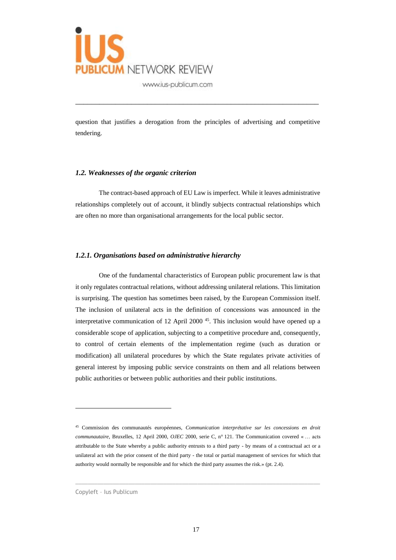

question that justifies a derogation from the principles of advertising and competitive tendering.

\_\_\_\_\_\_\_\_\_\_\_\_\_\_\_\_\_\_\_\_\_\_\_\_\_\_\_\_\_\_\_\_\_\_\_\_\_\_\_\_\_\_\_\_\_\_\_\_\_\_\_\_\_\_\_\_\_\_\_\_\_

#### *1.2. Weaknesses of the organic criterion*

The contract-based approach of EU Law is imperfect. While it leaves administrative relationships completely out of account, it blindly subjects contractual relationships which are often no more than organisational arrangements for the local public sector.

#### *1.2.1. Organisations based on administrative hierarchy*

One of the fundamental characteristics of European public procurement law is that it only regulates contractual relations, without addressing unilateral relations. This limitation is surprising. The question has sometimes been raised, by the European Commission itself. The inclusion of unilateral acts in the definition of concessions was announced in the interpretative communication of 12 April 2000 <sup>45</sup>. This inclusion would have opened up a considerable scope of application, subjecting to a competitive procedure and, consequently, to control of certain elements of the implementation regime (such as duration or modification) all unilateral procedures by which the State regulates private activities of general interest by imposing public service constraints on them and all relations between public authorities or between public authorities and their public institutions.

 $\_$  , and the set of the set of the set of the set of the set of the set of the set of the set of the set of the set of the set of the set of the set of the set of the set of the set of the set of the set of the set of th

<sup>45</sup> Commission des communautés européennes, *Communication interprétative sur les concessions en droit communautaire*, Bruxelles, 12 April 2000, *OJEC* 2000, serie C, n° 121. The Communication covered « … acts attributable to the State whereby a public authority entrusts to a third party - by means of a contractual act or a unilateral act with the prior consent of the third party - the total or partial management of services for which that authority would normally be responsible and for which the third party assumes the risk.» (pt. 2.4).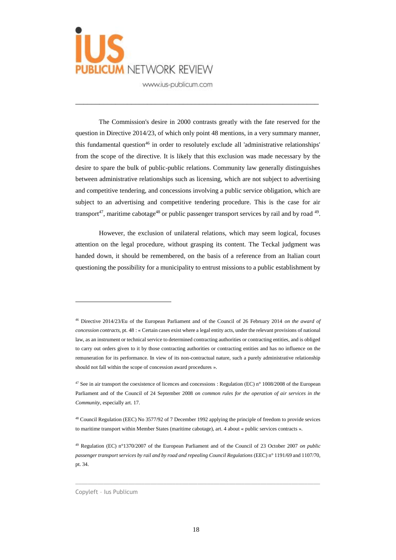

The Commission's desire in 2000 contrasts greatly with the fate reserved for the question in Directive 2014/23, of which only point 48 mentions, in a very summary manner, this fundamental question<sup>46</sup> in order to resolutely exclude all 'administrative relationships' from the scope of the directive. It is likely that this exclusion was made necessary by the desire to spare the bulk of public-public relations. Community law generally distinguishes between administrative relationships such as licensing, which are not subject to advertising and competitive tendering, and concessions involving a public service obligation, which are subject to an advertising and competitive tendering procedure. This is the case for air transport<sup>47</sup>, maritime cabotage<sup>48</sup> or public passenger transport services by rail and by road  $49$ .

\_\_\_\_\_\_\_\_\_\_\_\_\_\_\_\_\_\_\_\_\_\_\_\_\_\_\_\_\_\_\_\_\_\_\_\_\_\_\_\_\_\_\_\_\_\_\_\_\_\_\_\_\_\_\_\_\_\_\_\_\_

However, the exclusion of unilateral relations, which may seem logical, focuses attention on the legal procedure, without grasping its content. The Teckal judgment was handed down, it should be remembered, on the basis of a reference from an Italian court questioning the possibility for a municipality to entrust missions to a public establishment by

 $\_$  , and the set of the set of the set of the set of the set of the set of the set of the set of the set of the set of the set of the set of the set of the set of the set of the set of the set of the set of the set of th

<sup>46</sup> Directive 2014/23/Eu of the European Parliament and of the Council of 26 February 2014 *on the award of concession contracts*, pt. 48 : « Certain cases exist where a legal entity acts, under the relevant provisions of national law, as an instrument or technical service to determined contracting authorities or contracting entities, and is obliged to carry out orders given to it by those contracting authorities or contracting entities and has no influence on the remuneration for its performance. In view of its non-contractual nature, such a purely administrative relationship should not fall within the scope of concession award procedures ».

<sup>&</sup>lt;sup>47</sup> See in air transport the coexistence of licences and concessions : Regulation (EC) n° 1008/2008 of the European Parliament and of the Council of 24 September 2008 *on common rules for the operation of air services in the Community*, especially art. 17.

<sup>&</sup>lt;sup>48</sup> Council Regulation (EEC) No 3577/92 of 7 December 1992 applying the principle of freedom to provide sevices to maritime transport within Member States (maritime cabotage), art. 4 about « public services contracts ».

<sup>49</sup> Regulation (EC) n°1370/2007 of the European Parliament and of the Council of 23 October 2007 *on public passenger transport services by rail and by road and repealing Council Regulations* (EEC) n° 1191/69 and 1107/70, pt. 34.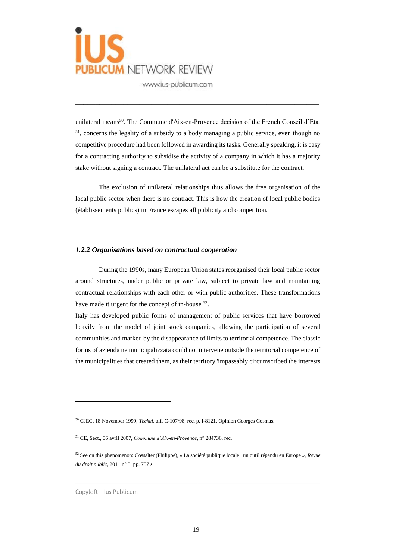

unilateral means<sup>50</sup>. The Commune d'Aix-en-Provence decision of the French Conseil d'Etat <sup>51</sup>, concerns the legality of a subsidy to a body managing a public service, even though no competitive procedure had been followed in awarding its tasks. Generally speaking, it is easy for a contracting authority to subsidise the activity of a company in which it has a majority stake without signing a contract. The unilateral act can be a substitute for the contract.

\_\_\_\_\_\_\_\_\_\_\_\_\_\_\_\_\_\_\_\_\_\_\_\_\_\_\_\_\_\_\_\_\_\_\_\_\_\_\_\_\_\_\_\_\_\_\_\_\_\_\_\_\_\_\_\_\_\_\_\_\_

The exclusion of unilateral relationships thus allows the free organisation of the local public sector when there is no contract. This is how the creation of local public bodies (établissements publics) in France escapes all publicity and competition.

#### *1.2.2 Organisations based on contractual cooperation*

During the 1990s, many European Union states reorganised their local public sector around structures, under public or private law, subject to private law and maintaining contractual relationships with each other or with public authorities. These transformations have made it urgent for the concept of in-house <sup>52</sup>.

Italy has developed public forms of management of public services that have borrowed heavily from the model of joint stock companies, allowing the participation of several communities and marked by the disappearance of limits to territorial competence. The classic forms of azienda ne municipalizzata could not intervene outside the territorial competence of the municipalities that created them, as their territory 'impassably circumscribed the interests

 $\_$  , and the set of the set of the set of the set of the set of the set of the set of the set of the set of the set of the set of the set of the set of the set of the set of the set of the set of the set of the set of th

<sup>50</sup> CJEC, 18 November 1999, *Teckal*, aff. C-107/98, rec. p. I-8121, Opinion Georges Cosmas.

<sup>51</sup> CE, Sect., 06 avril 2007, *Commune d'Aix-en-Provence*, n° 284736, rec.

<sup>52</sup> See on this phenomenon: Cossalter (Philippe), « La société publique locale : un outil répandu en Europe », *Revue du droit public*, 2011 n° 3, pp. 757 s.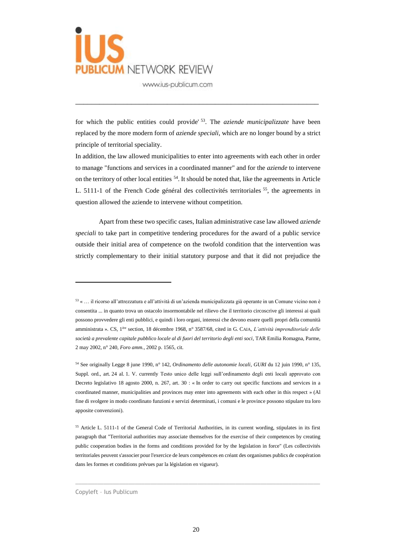

for which the public entities could provide' <sup>53</sup>. The *aziende municipalizzate* have been replaced by the more modern form of *aziende speciali*, which are no longer bound by a strict principle of territorial speciality.

\_\_\_\_\_\_\_\_\_\_\_\_\_\_\_\_\_\_\_\_\_\_\_\_\_\_\_\_\_\_\_\_\_\_\_\_\_\_\_\_\_\_\_\_\_\_\_\_\_\_\_\_\_\_\_\_\_\_\_\_\_

In addition, the law allowed municipalities to enter into agreements with each other in order to manage "functions and services in a coordinated manner" and for the *aziende* to intervene on the territory of other local entities <sup>54</sup>. It should be noted that, like the agreements in Article L. 5111-1 of the French Code général des collectivités territoriales <sup>55</sup>, the agreements in question allowed the aziende to intervene without competition.

Apart from these two specific cases, Italian administrative case law allowed *aziende speciali* to take part in competitive tendering procedures for the award of a public service outside their initial area of competence on the twofold condition that the intervention was strictly complementary to their initial statutory purpose and that it did not prejudice the

 $\_$  , and the set of the set of the set of the set of the set of the set of the set of the set of the set of the set of the set of the set of the set of the set of the set of the set of the set of the set of the set of th

<sup>53</sup> « … il ricorso all'attrezzatura e all'attività di un'azienda municipalizzata già operante in un Comune vicino non è consentita ... in quanto trova un ostacolo insormontabile nel rilievo che il territorio circoscrive gli interessi ai quali possono provvedere gli enti pubblici, e quindi i loro organi, interessi che devono essere quelli propri della comunità amministrata ». CS, 1ère section, 18 décembre 1968, n° 3587/68, cited in G. CAIA, *L'attività imprenditoriale delle società a prevalente capitale pubblico locale al di fuori del territorio degli enti soci*, TAR Emilia Romagna, Parme, 2 may 2002, n° 240, *Foro amm.*, 2002 p. 1565, cit.

<sup>54</sup> See originally Legge 8 june 1990, n° 142, *Ordinamento delle autonomie locali*, *GURI* du 12 juin 1990, n° 135, Suppl. ord., art. 24 al. 1. V. currently Testo unico delle leggi sull'ordinamento degli enti locali approvato con Decreto legislativo 18 agosto 2000, n. 267, art. 30 : « In order to carry out specific functions and services in a coordinated manner, municipalities and provinces may enter into agreements with each other in this respect » (Al fine di svolgere in modo coordinato funzioni e servizi determinati, i comuni e le province possono stipulare tra loro apposite convenzioni).

<sup>55</sup> Article L. 5111-1 of the General Code of Territorial Authorities, in its current wording, stipulates in its first paragraph that "Territorial authorities may associate themselves for the exercise of their competences by creating public cooperation bodies in the forms and conditions provided for by the legislation in force" (Les collectivités territoriales peuvent s'associer pour l'exercice de leurs compétences en créant des organismes publics de coopération dans les formes et conditions prévues par la législation en vigueur).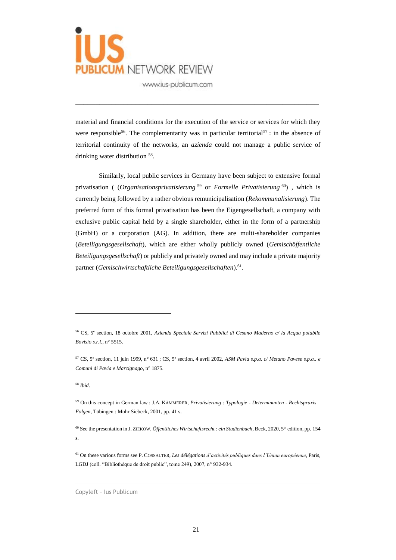

material and financial conditions for the execution of the service or services for which they were responsible<sup>56</sup>. The complementarity was in particular territorial<sup>57</sup>: in the absence of territorial continuity of the networks, an *azienda* could not manage a public service of drinking water distribution <sup>58</sup>.

\_\_\_\_\_\_\_\_\_\_\_\_\_\_\_\_\_\_\_\_\_\_\_\_\_\_\_\_\_\_\_\_\_\_\_\_\_\_\_\_\_\_\_\_\_\_\_\_\_\_\_\_\_\_\_\_\_\_\_\_\_

Similarly, local public services in Germany have been subject to extensive formal privatisation ( (*Organisationsprivatisierung* <sup>59</sup> or *Formelle Privatisierung* <sup>60</sup>) , which is currently being followed by a rather obvious remunicipalisation (*Rekommunalisierung*). The preferred form of this formal privatisation has been the Eigengesellschaft, a company with exclusive public capital held by a single shareholder, either in the form of a partnership (GmbH) or a corporation (AG). In addition, there are multi-shareholder companies (*Beteiligungsgesellschaft*), which are either wholly publicly owned (*Gemischöffentliche Beteiligungsgesellschaft*) or publicly and privately owned and may include a private majority partner (Gemischwirtschaftliche Beteiligungsgesellschaften).<sup>61</sup>.

<sup>58</sup> *Ibid*.

 $\overline{a}$ 

 $\_$  , and the set of the set of the set of the set of the set of the set of the set of the set of the set of the set of the set of the set of the set of the set of the set of the set of the set of the set of the set of th

<sup>56</sup> CS, 5<sup>e</sup> section, 18 octobre 2001, *Azienda Speciale Servizi Pubblici di Cesano Maderno c/ la Acqua potabile Bovisio s.r.l.*, n° 5515.

<sup>57</sup> CS, 5<sup>e</sup> section, 11 juin 1999, n° 631 ; CS, 5<sup>e</sup> section, 4 avril 2002, *ASM Pavia s.p.a. c/ Metano Pavese s.p.a.. e Comuni di Pavia e Marcignago*, n° 1875.

<sup>59</sup> On this concept in German law : J.A. KÄMMERER, *Privatisierung : Typologie - Determinanten - Rechtspraxis – Folgen*, Tübingen : Mohr Siebeck, 2001, pp. 41 s.

<sup>&</sup>lt;sup>60</sup> See the presentation in J. ZIEKOW, *Öffentliches Wirtschaftsrecht : ein Studienbuch*, Beck, 2020, 5<sup>th</sup> edition, pp. 154 s.

<sup>61</sup> On these various forms see P. COSSALTER, *Les délégations d'activités publiques dans l'Union européenne*, Paris, LGDJ (coll. "Bibliothèque de droit public", tome 249), 2007, n° 932-934.

Copyleft – Ius Publicum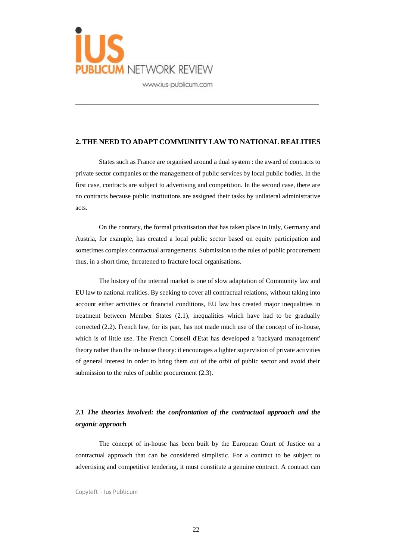

#### **2. THE NEED TO ADAPT COMMUNITY LAW TO NATIONAL REALITIES**

\_\_\_\_\_\_\_\_\_\_\_\_\_\_\_\_\_\_\_\_\_\_\_\_\_\_\_\_\_\_\_\_\_\_\_\_\_\_\_\_\_\_\_\_\_\_\_\_\_\_\_\_\_\_\_\_\_\_\_\_\_

States such as France are organised around a dual system : the award of contracts to private sector companies or the management of public services by local public bodies. In the first case, contracts are subject to advertising and competition. In the second case, there are no contracts because public institutions are assigned their tasks by unilateral administrative acts.

On the contrary, the formal privatisation that has taken place in Italy, Germany and Austria, for example, has created a local public sector based on equity participation and sometimes complex contractual arrangements. Submission to the rules of public procurement thus, in a short time, threatened to fracture local organisations.

The history of the internal market is one of slow adaptation of Community law and EU law to national realities. By seeking to cover all contractual relations, without taking into account either activities or financial conditions, EU law has created major inequalities in treatment between Member States (2.1), inequalities which have had to be gradually corrected (2.2). French law, for its part, has not made much use of the concept of in-house, which is of little use. The French Conseil d'Etat has developed a 'backyard management' theory rather than the in-house theory: it encourages a lighter supervision of private activities of general interest in order to bring them out of the orbit of public sector and avoid their submission to the rules of public procurement  $(2.3)$ .

# *2.1 The theories involved: the confrontation of the contractual approach and the organic approach*

The concept of in-house has been built by the European Court of Justice on a contractual approach that can be considered simplistic. For a contract to be subject to advertising and competitive tendering, it must constitute a genuine contract. A contract can

 $\_$  , and the set of the set of the set of the set of the set of the set of the set of the set of the set of the set of the set of the set of the set of the set of the set of the set of the set of the set of the set of th

Copyleft – Ius Publicum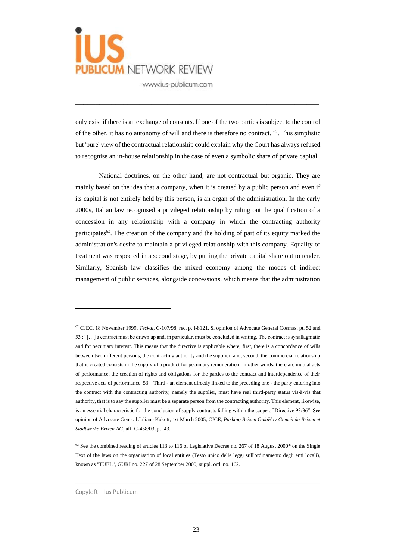

only exist if there is an exchange of consents. If one of the two parties is subject to the control of the other, it has no autonomy of will and there is therefore no contract.  $62$ . This simplistic but 'pure' view of the contractual relationship could explain why the Court has always refused to recognise an in-house relationship in the case of even a symbolic share of private capital.

\_\_\_\_\_\_\_\_\_\_\_\_\_\_\_\_\_\_\_\_\_\_\_\_\_\_\_\_\_\_\_\_\_\_\_\_\_\_\_\_\_\_\_\_\_\_\_\_\_\_\_\_\_\_\_\_\_\_\_\_\_

National doctrines, on the other hand, are not contractual but organic. They are mainly based on the idea that a company, when it is created by a public person and even if its capital is not entirely held by this person, is an organ of the administration. In the early 2000s, Italian law recognised a privileged relationship by ruling out the qualification of a concession in any relationship with a company in which the contracting authority participates<sup>63</sup>. The creation of the company and the holding of part of its equity marked the administration's desire to maintain a privileged relationship with this company. Equality of treatment was respected in a second stage, by putting the private capital share out to tender. Similarly, Spanish law classifies the mixed economy among the modes of indirect management of public services, alongside concessions, which means that the administration

 $\_$  , and the set of the set of the set of the set of the set of the set of the set of the set of the set of the set of the set of the set of the set of the set of the set of the set of the set of the set of the set of th

<sup>62</sup> CJEC, 18 November 1999, *Teckal*, C-107/98, rec. p. I-8121. S. opinion of Advocate General Cosmas, pt. 52 and 53 : "[…] a contract must be drawn up and, in particular, must be concluded in writing. The contract is synallagmatic and for pecuniary interest. This means that the directive is applicable where, first, there is a concordance of wills between two different persons, the contracting authority and the supplier, and, second, the commercial relationship that is created consists in the supply of a product for pecuniary remuneration. In other words, there are mutual acts of performance, the creation of rights and obligations for the parties to the contract and interdependence of their respective acts of performance. 53. Third - an element directly linked to the preceding one - the party entering into the contract with the contracting authority, namely the supplier, must have real third-party status vis-à-vis that authority, that is to say the supplier must be a separate person from the contracting authority. This element, likewise, is an essential characteristic for the conclusion of supply contracts falling within the scope of Directive 93/36". See opinion of Advocate General Juliane Kokott, 1st March 2005, CJCE, *Parking Brixen GmbH c/ Gemeinde Brixen et Stadtwerke Brixen AG*, aff. C-458/03, pt. 43.

 $63$  See the combined reading of articles 113 to 116 of Legislative Decree no. 267 of 18 August 2000 $*$  on the Single Text of the laws on the organisation of local entities (Testo unico delle leggi sull'ordinamento degli enti locali), known as "TUEL", GURI no. 227 of 28 September 2000, suppl. ord. no. 162.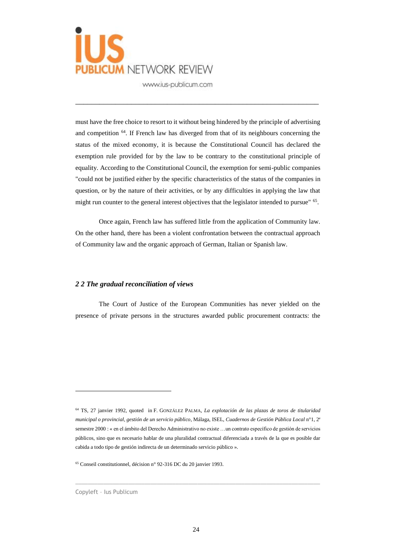

must have the free choice to resort to it without being hindered by the principle of advertising and competition <sup>64</sup>. If French law has diverged from that of its neighbours concerning the status of the mixed economy, it is because the Constitutional Council has declared the exemption rule provided for by the law to be contrary to the constitutional principle of equality. According to the Constitutional Council, the exemption for semi-public companies "could not be justified either by the specific characteristics of the status of the companies in question, or by the nature of their activities, or by any difficulties in applying the law that might run counter to the general interest objectives that the legislator intended to pursue" <sup>65</sup>.

\_\_\_\_\_\_\_\_\_\_\_\_\_\_\_\_\_\_\_\_\_\_\_\_\_\_\_\_\_\_\_\_\_\_\_\_\_\_\_\_\_\_\_\_\_\_\_\_\_\_\_\_\_\_\_\_\_\_\_\_\_

Once again, French law has suffered little from the application of Community law. On the other hand, there has been a violent confrontation between the contractual approach of Community law and the organic approach of German, Italian or Spanish law.

#### *2 2 The gradual reconciliation of views*

The Court of Justice of the European Communities has never yielded on the presence of private persons in the structures awarded public procurement contracts: the

 $\_$  , and the set of the set of the set of the set of the set of the set of the set of the set of the set of the set of the set of the set of the set of the set of the set of the set of the set of the set of the set of th

<sup>64</sup> TS, 27 janvier 1992, quoted in F. GONZÁLEZ PALMA, *La explotación de las plazas de toros de titularidad municipal o provincial, gestión de un servicio público*, Málaga, ISEL, *Cuadernos de Gestión Pública Local* n°1, 2<sup>e</sup> semestre 2000 : « en el ámbito del Derecho Administrativo no existe …un contrato específico de gestión de servicios públicos, sino que es necesario hablar de una pluralidad contractual diferenciada a través de la que es posible dar cabida a todo tipo de gestión indirecta de un determinado servicio público ».

<sup>65</sup> Conseil constitutionnel, décision n° 92-316 DC du 20 janvier 1993.

Copyleft – Ius Publicum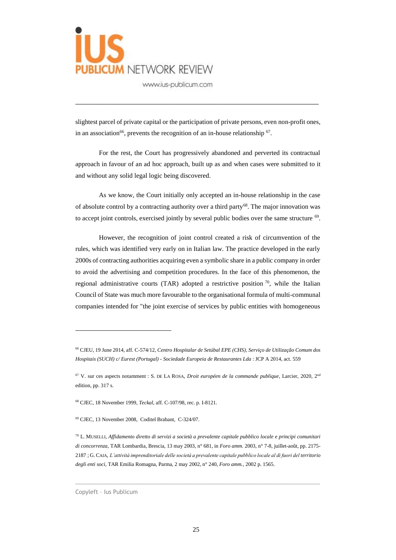

slightest parcel of private capital or the participation of private persons, even non-profit ones, in an association<sup>66</sup>, prevents the recognition of an in-house relationship  $67$ .

\_\_\_\_\_\_\_\_\_\_\_\_\_\_\_\_\_\_\_\_\_\_\_\_\_\_\_\_\_\_\_\_\_\_\_\_\_\_\_\_\_\_\_\_\_\_\_\_\_\_\_\_\_\_\_\_\_\_\_\_\_

For the rest, the Court has progressively abandoned and perverted its contractual approach in favour of an ad hoc approach, built up as and when cases were submitted to it and without any solid legal logic being discovered.

As we know, the Court initially only accepted an in-house relationship in the case of absolute control by a contracting authority over a third party<sup>68</sup>. The major innovation was to accept joint controls, exercised jointly by several public bodies over the same structure  $69$ .

However, the recognition of joint control created a risk of circumvention of the rules, which was identified very early on in Italian law. The practice developed in the early 2000s of contracting authorities acquiring even a symbolic share in a public company in order to avoid the advertising and competition procedures. In the face of this phenomenon, the regional administrative courts (TAR) adopted a restrictive position  $\frac{70}{1}$ , while the Italian Council of State was much more favourable to the organisational formula of multi-communal companies intended for "the joint exercise of services by public entities with homogeneous

 $\_$  , and the set of the set of the set of the set of the set of the set of the set of the set of the set of the set of the set of the set of the set of the set of the set of the set of the set of the set of the set of th

<sup>66</sup> CJEU, 19 June 2014, aff. C-574/12, *Centro Hospitalar de Setúbal EPE (CHS)*, *Serviço de Utilização Comum dos Hospitais (SUCH) c/ Eurest (Portugal) - Sociedade Europeia de Restaurantes Lda* : JCP A 2014, act. 559

<sup>67</sup> V. sur ces aspects notamment : S. DE LA ROSA, *Droit européen de la commande publique*, Larcier, 2020, 2nd edition, pp. 317 s.

<sup>68</sup> CJEC, 18 November 1999, *Teckal*, aff. C-107/98, rec. p. I-8121.

<sup>69</sup> CJEC, 13 November 2008, Coditel Brabant, C-324/07.

<sup>70</sup> L. MUSELLI, *Affidamento diretto di servizi a società a prevalente capitale pubblico locale e principi comunitari di concorrenza*, TAR Lombardia, Brescia, 13 may 2003, n° 681, in *Foro amm.* 2003, n° 7-8, juillet-août, pp. 2175- 2187 ; G. CAIA, *L'attività imprenditoriale delle società a prevalente capitale pubblico locale al di fuori del territorio degli enti soci*, TAR Emilia Romagna, Parma, 2 may 2002, n° 240, *Foro amm.*, 2002 p. 1565.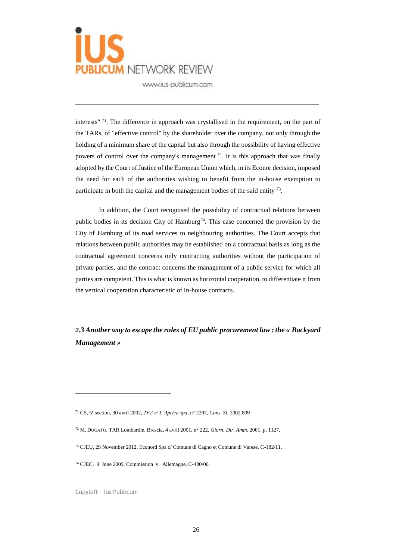

interests"<sup>71</sup>. The difference in approach was crystallised in the requirement, on the part of the TARs, of "effective control" by the shareholder over the company, not only through the holding of a minimum share of the capital but also through the possibility of having effective powers of control over the company's management  $^{72}$ . It is this approach that was finally adopted by the Court of Justice of the European Union which, in its Econor decision, imposed the need for each of the authorities wishing to benefit from the in-house exemption to participate in both the capital and the management bodies of the said entity  $^{73}$ .

\_\_\_\_\_\_\_\_\_\_\_\_\_\_\_\_\_\_\_\_\_\_\_\_\_\_\_\_\_\_\_\_\_\_\_\_\_\_\_\_\_\_\_\_\_\_\_\_\_\_\_\_\_\_\_\_\_\_\_\_\_

In addition, the Court recognised the possibility of contractual relations between public bodies in its decision City of Hamburg<sup>74</sup>. This case concerned the provision by the City of Hamburg of its road services to neighbouring authorities. The Court accepts that relations between public authorities may be established on a contractual basis as long as the contractual agreement concerns only contracting authorities without the participation of private parties, and the contract concerns the management of a public service for which all parties are competent. This is what is known as horizontal cooperation, to differentiate it from the vertical cooperation characteristic of in-house contracts.

*2.3 Another way to escape the rules of EU public procurement law : the « Backyard Management »*

 $\overline{a}$ 

 $\_$  , and the set of the set of the set of the set of the set of the set of the set of the set of the set of the set of the set of the set of the set of the set of the set of the set of the set of the set of the set of th

<sup>71</sup> CS, 5<sup>e</sup> section, 30 avril 2002, *TEA c/ L'Aprica spa,* n° 2297, *Cons. St.* 2002.809

<sup>72</sup> M. DUGATO, TAR Lombardie, Brescia, 4 avril 2001, n° 222, *Giorn. Dir. Amm.* 2001, p. 1127.

<sup>73</sup> CJEU, 29 November 2012, Econord Spa c/ Comune di Cagno et Comune di Varese, C-182/11.

<sup>74</sup> CJEC, 9 June 2009, Commission v. Allemagne, C-480/06.

Copyleft – Ius Publicum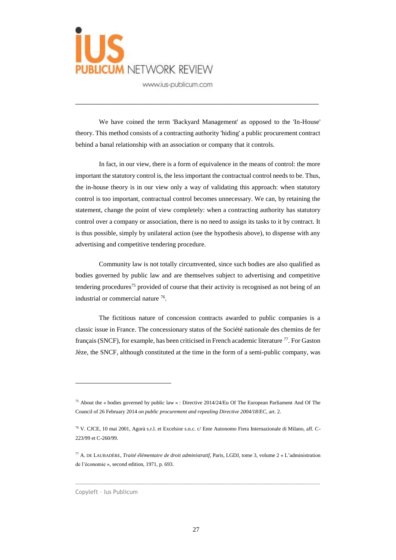

We have coined the term 'Backyard Management' as opposed to the 'In-House' theory. This method consists of a contracting authority 'hiding' a public procurement contract behind a banal relationship with an association or company that it controls.

\_\_\_\_\_\_\_\_\_\_\_\_\_\_\_\_\_\_\_\_\_\_\_\_\_\_\_\_\_\_\_\_\_\_\_\_\_\_\_\_\_\_\_\_\_\_\_\_\_\_\_\_\_\_\_\_\_\_\_\_\_

In fact, in our view, there is a form of equivalence in the means of control: the more important the statutory control is, the less important the contractual control needs to be. Thus, the in-house theory is in our view only a way of validating this approach: when statutory control is too important, contractual control becomes unnecessary. We can, by retaining the statement, change the point of view completely: when a contracting authority has statutory control over a company or association, there is no need to assign its tasks to it by contract. It is thus possible, simply by unilateral action (see the hypothesis above), to dispense with any advertising and competitive tendering procedure.

Community law is not totally circumvented, since such bodies are also qualified as bodies governed by public law and are themselves subject to advertising and competitive tendering procedures<sup>75</sup> provided of course that their activity is recognised as not being of an industrial or commercial nature <sup>76</sup>.

The fictitious nature of concession contracts awarded to public companies is a classic issue in France. The concessionary status of the Société nationale des chemins de fer français (SNCF), for example, has been criticised in French academic literature <sup>77</sup>. For Gaston Jèze, the SNCF, although constituted at the time in the form of a semi-public company, was

 $\_$  , and the set of the set of the set of the set of the set of the set of the set of the set of the set of the set of the set of the set of the set of the set of the set of the set of the set of the set of the set of th

<sup>75</sup> About the « bodies governed by public law » : Directive 2014/24/Eu Of The European Parliament And Of The Council of 26 February 2014 *on public procurement and repealing Directive 2004/18/EC*, art. 2.

<sup>76</sup> V. CJCE, 10 mai 2001, Agorà s.r.l. et Excelsior s.n.c. c/ Ente Autonomo Fiera Internazionale di Milano, aff. C-223/99 et C-260/99.

<sup>77</sup> A. DE LAUBADÈRE, *Traité élémentaire de droit administratif*, Paris, LGDJ, tome 3, volume 2 « L'administration de l'économie », second edition, 1971, p. 693.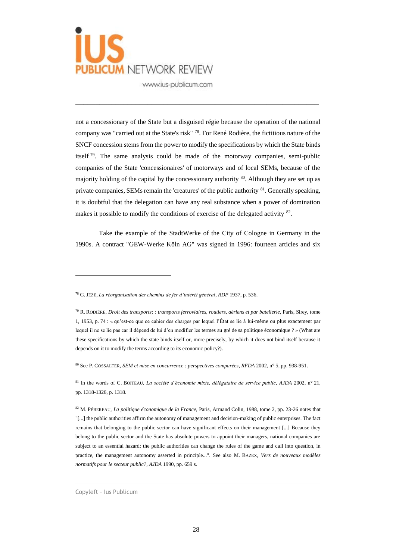

not a concessionary of the State but a disguised régie because the operation of the national company was "carried out at the State's risk" <sup>78</sup>. For René Rodière, the fictitious nature of the SNCF concession stems from the power to modify the specifications by which the State binds itself <sup>79</sup>. The same analysis could be made of the motorway companies, semi-public companies of the State 'concessionaires' of motorways and of local SEMs, because of the majority holding of the capital by the concessionary authority <sup>80</sup>. Although they are set up as private companies, SEMs remain the 'creatures' of the public authority <sup>81</sup>. Generally speaking, it is doubtful that the delegation can have any real substance when a power of domination makes it possible to modify the conditions of exercise of the delegated activity <sup>82</sup>.

\_\_\_\_\_\_\_\_\_\_\_\_\_\_\_\_\_\_\_\_\_\_\_\_\_\_\_\_\_\_\_\_\_\_\_\_\_\_\_\_\_\_\_\_\_\_\_\_\_\_\_\_\_\_\_\_\_\_\_\_\_

Take the example of the StadtWerke of the City of Cologne in Germany in the 1990s. A contract "GEW-Werke Köln AG" was signed in 1996: fourteen articles and six

<sup>80</sup> See P. COSSALTER, *SEM et mise en concurrence : perspectives comparées*, *RFDA* 2002, n° 5, pp. 938-951.

<sup>81</sup> In the words of C. BOITEAU, *La société d'économie mixte, délégataire de service public*, *AJDA* 2002, n° 21, pp. 1318-1326, p. 1318.

 $\_$  , and the set of the set of the set of the set of the set of the set of the set of the set of the set of the set of the set of the set of the set of the set of the set of the set of the set of the set of the set of th

<sup>78</sup> G. JÈZE, *La réorganisation des chemins de fer d'intérêt général*, *RDP* 1937, p. 536.

<sup>79</sup> R. RODIÈRE, *Droit des transports; : transports ferroviaires, routiers, aériens et par batellerie*, Paris, Sirey, tome 1, 1953, p. 74 : « qu'est-ce que ce cahier des charges par lequel l'État se lie à lui-même ou plus exactement par lequel il ne se lie pas car il dépend de lui d'en modifier les termes au gré de sa politique économique ? » (What are these specifications by which the state binds itself or, more precisely, by which it does not bind itself because it depends on it to modify the terms according to its economic policy?).

<sup>82</sup> M. PÉBEREAU, *La politique économique de la France*, Paris, Armand Colin, 1988, tome 2, pp. 23-26 notes that "[...] the public authorities affirm the autonomy of management and decision-making of public enterprises. The fact remains that belonging to the public sector can have significant effects on their management [...] Because they belong to the public sector and the State has absolute powers to appoint their managers, national companies are subject to an essential hazard: the public authorities can change the rules of the game and call into question, in practice, the management autonomy asserted in principle...". See also M. BAZEX, *Vers de nouveaux modèles normatifs pour le secteur public?*, *AJDA* 1990, pp. 659 s.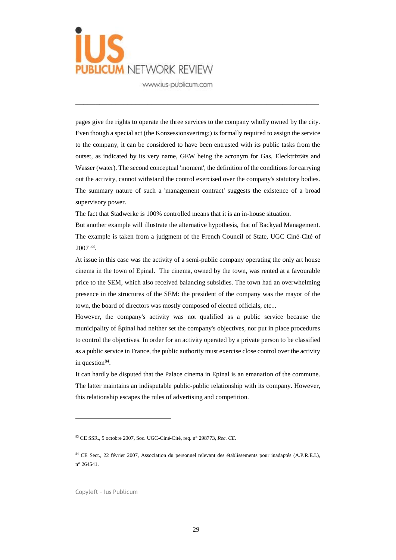

pages give the rights to operate the three services to the company wholly owned by the city. Even though a special act (the Konzessionsvertrag;) is formally required to assign the service to the company, it can be considered to have been entrusted with its public tasks from the outset, as indicated by its very name, GEW being the acronym for Gas, Elecktriztäts and Wasser (water). The second conceptual 'moment', the definition of the conditions for carrying out the activity, cannot withstand the control exercised over the company's statutory bodies. The summary nature of such a 'management contract' suggests the existence of a broad supervisory power.

\_\_\_\_\_\_\_\_\_\_\_\_\_\_\_\_\_\_\_\_\_\_\_\_\_\_\_\_\_\_\_\_\_\_\_\_\_\_\_\_\_\_\_\_\_\_\_\_\_\_\_\_\_\_\_\_\_\_\_\_\_

The fact that Stadwerke is 100% controlled means that it is an in-house situation.

But another example will illustrate the alternative hypothesis, that of Backyad Management. The example is taken from a judgment of the French Council of State, UGC Ciné-Cité of 2007 <sup>83</sup> .

At issue in this case was the activity of a semi-public company operating the only art house cinema in the town of Epinal. The cinema, owned by the town, was rented at a favourable price to the SEM, which also received balancing subsidies. The town had an overwhelming presence in the structures of the SEM: the president of the company was the mayor of the town, the board of directors was mostly composed of elected officials, etc...

However, the company's activity was not qualified as a public service because the municipality of Épinal had neither set the company's objectives, nor put in place procedures to control the objectives. In order for an activity operated by a private person to be classified as a public service in France, the public authority must exercise close control over the activity in question<sup>84</sup>.

It can hardly be disputed that the Palace cinema in Epinal is an emanation of the commune. The latter maintains an indisputable public-public relationship with its company. However, this relationship escapes the rules of advertising and competition.

 $\_$  , and the set of the set of the set of the set of the set of the set of the set of the set of the set of the set of the set of the set of the set of the set of the set of the set of the set of the set of the set of th

<sup>83</sup> CE SSR., 5 octobre 2007, Soc. UGC-Ciné-Cité, req. n° 298773, *Rec. CE*.

<sup>84</sup> CE Sect., 22 février 2007, Association du personnel relevant des établissements pour inadaptés (A.P.R.E.I.), n° 264541.